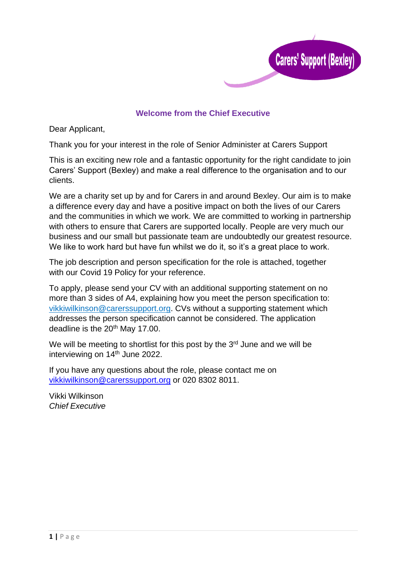

# **Welcome from the Chief Executive**

Dear Applicant,

Thank you for your interest in the role of Senior Administer at Carers Support

This is an exciting new role and a fantastic opportunity for the right candidate to join Carers' Support (Bexley) and make a real difference to the organisation and to our clients.

We are a charity set up by and for Carers in and around Bexley. Our aim is to make a difference every day and have a positive impact on both the lives of our Carers and the communities in which we work. We are committed to working in partnership with others to ensure that Carers are supported locally. People are very much our business and our small but passionate team are undoubtedly our greatest resource. We like to work hard but have fun whilst we do it, so it's a great place to work.

The job description and person specification for the role is attached, together with our Covid 19 Policy for your reference.

To apply, please send your CV with an additional supporting statement on no more than 3 sides of A4, explaining how you meet the person specification to: [vikkiwilkinson@carerssupport.org. C](mailto:vikkiwilkinson@carerssupport.org)Vs without a supporting statement which addresses the person specification cannot be considered. The application deadline is the 20<sup>th</sup> May 17.00.

We will be meeting to shortlist for this post by the  $3<sup>rd</sup>$  June and we will be interviewing on 14<sup>th</sup> June 2022.

If you have any questions about the role, please contact me on [vikkiwilkinson@carerssupport.org](mailto:vikkiwilkinson@carerssupport.org) or 020 8302 8011.

Vikki Wilkinson *Chief Executive*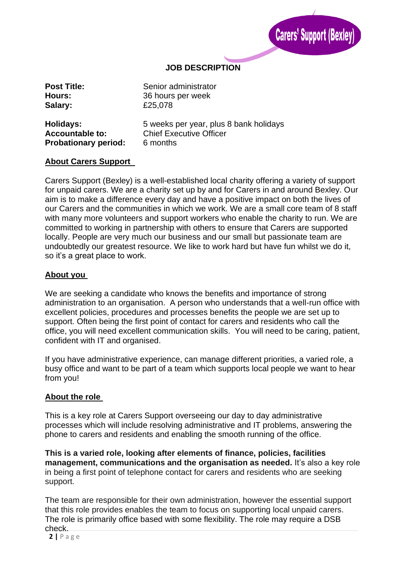

# **JOB DESCRIPTION**

| <b>Post Title:</b>          | Senior administrator                   |
|-----------------------------|----------------------------------------|
| Hours:                      | 36 hours per week                      |
| Salary:                     | £25,078                                |
| Holidays:                   | 5 weeks per year, plus 8 bank holidays |
| <b>Accountable to:</b>      | <b>Chief Executive Officer</b>         |
| <b>Probationary period:</b> | 6 months                               |

#### **About Carers Support**

Carers Support (Bexley) is a well-established local charity offering a variety of support for unpaid carers. We are a charity set up by and for Carers in and around Bexley. Our aim is to make a difference every day and have a positive impact on both the lives of our Carers and the communities in which we work. We are a small core team of 8 staff with many more volunteers and support workers who enable the charity to run. We are committed to working in partnership with others to ensure that Carers are supported locally. People are very much our business and our small but passionate team are undoubtedly our greatest resource. We like to work hard but have fun whilst we do it, so it's a great place to work.

#### **About you**

We are seeking a candidate who knows the benefits and importance of strong administration to an organisation. A person who understands that a well-run office with excellent policies, procedures and processes benefits the people we are set up to support. Often being the first point of contact for carers and residents who call the office, you will need excellent communication skills. You will need to be caring, patient, confident with IT and organised.

If you have administrative experience, can manage different priorities, a varied role, a busy office and want to be part of a team which supports local people we want to hear from you!

## **About the role**

This is a key role at Carers Support overseeing our day to day administrative processes which will include resolving administrative and IT problems, answering the phone to carers and residents and enabling the smooth running of the office.

**This is a varied role, looking after elements of finance, policies, facilities management, communications and the organisation as needed.** It's also a key role in being a first point of telephone contact for carers and residents who are seeking support.

The team are responsible for their own administration, however the essential support that this role provides enables the team to focus on supporting local unpaid carers. The role is primarily office based with some flexibility. The role may require a DSB check.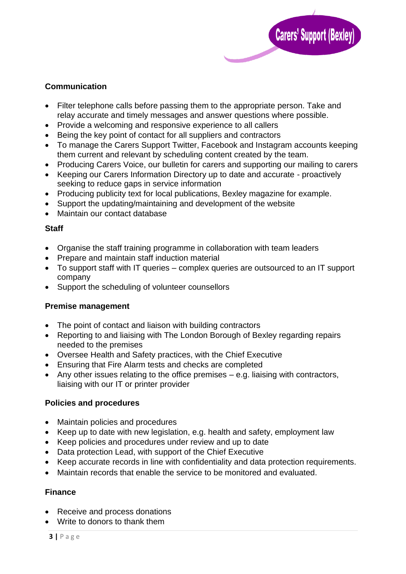

# **Communication**

- Filter telephone calls before passing them to the appropriate person. Take and relay accurate and timely messages and answer questions where possible.
- Provide a welcoming and responsive experience to all callers
- Being the key point of contact for all suppliers and contractors
- To manage the Carers Support Twitter, Facebook and Instagram accounts keeping them current and relevant by scheduling content created by the team.
- Producing Carers Voice, our bulletin for carers and supporting our mailing to carers
- Keeping our Carers Information Directory up to date and accurate proactively seeking to reduce gaps in service information
- Producing publicity text for local publications, Bexley magazine for example.
- Support the updating/maintaining and development of the website
- Maintain our contact database

## **Staff**

- Organise the staff training programme in collaboration with team leaders
- Prepare and maintain staff induction material
- To support staff with IT queries complex queries are outsourced to an IT support company
- Support the scheduling of volunteer counsellors

## **Premise management**

- The point of contact and liaison with building contractors
- Reporting to and liaising with The London Borough of Bexley regarding repairs needed to the premises
- Oversee Health and Safety practices, with the Chief Executive
- Ensuring that Fire Alarm tests and checks are completed
- Any other issues relating to the office premises e.g. liaising with contractors, liaising with our IT or printer provider

## **Policies and procedures**

- Maintain policies and procedures
- Keep up to date with new legislation, e.g. health and safety, employment law
- Keep policies and procedures under review and up to date
- Data protection Lead, with support of the Chief Executive
- Keep accurate records in line with confidentiality and data protection requirements.
- Maintain records that enable the service to be monitored and evaluated.

## **Finance**

- Receive and process donations
- Write to donors to thank them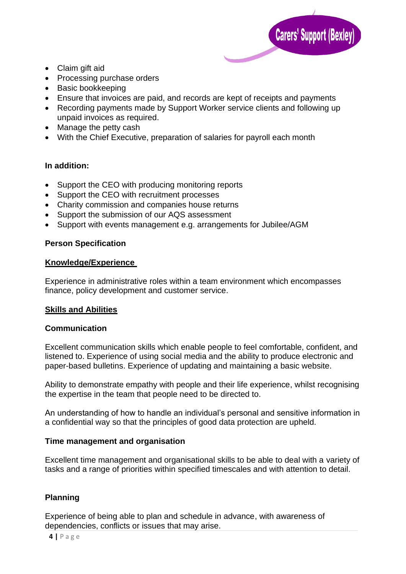

- Claim gift aid
- Processing purchase orders
- Basic bookkeeping
- Ensure that invoices are paid, and records are kept of receipts and payments
- Recording payments made by Support Worker service clients and following up unpaid invoices as required.
- Manage the petty cash
- With the Chief Executive, preparation of salaries for payroll each month

## **In addition:**

- Support the CEO with producing monitoring reports
- Support the CEO with recruitment processes
- Charity commission and companies house returns
- Support the submission of our AQS assessment
- Support with events management e.g. arrangements for Jubilee/AGM

## **Person Specification**

## **Knowledge/Experience**

Experience in administrative roles within a team environment which encompasses finance, policy development and customer service.

## **Skills and Abilities**

## **Communication**

Excellent communication skills which enable people to feel comfortable, confident, and listened to. Experience of using social media and the ability to produce electronic and paper-based bulletins. Experience of updating and maintaining a basic website.

Ability to demonstrate empathy with people and their life experience, whilst recognising the expertise in the team that people need to be directed to.

An understanding of how to handle an individual's personal and sensitive information in a confidential way so that the principles of good data protection are upheld.

## **Time management and organisation**

Excellent time management and organisational skills to be able to deal with a variety of tasks and a range of priorities within specified timescales and with attention to detail.

# **Planning**

Experience of being able to plan and schedule in advance, with awareness of dependencies, conflicts or issues that may arise.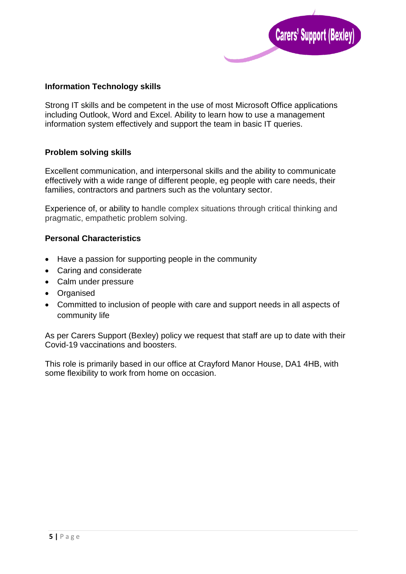

## **Information Technology skills**

Strong IT skills and be competent in the use of most Microsoft Office applications including Outlook, Word and Excel. Ability to learn how to use a management information system effectively and support the team in basic IT queries.

## **Problem solving skills**

Excellent communication, and interpersonal skills and the ability to communicate effectively with a wide range of different people, eg people with care needs, their families, contractors and partners such as the voluntary sector.

Experience of, or ability to handle complex situations through critical thinking and pragmatic, empathetic problem solving.

# **Personal Characteristics**

- Have a passion for supporting people in the community
- Caring and considerate
- Calm under pressure
- Organised
- Committed to inclusion of people with care and support needs in all aspects of community life

As per Carers Support (Bexley) policy we request that staff are up to date with their Covid-19 vaccinations and boosters.

This role is primarily based in our office at Crayford Manor House, DA1 4HB, with some flexibility to work from home on occasion.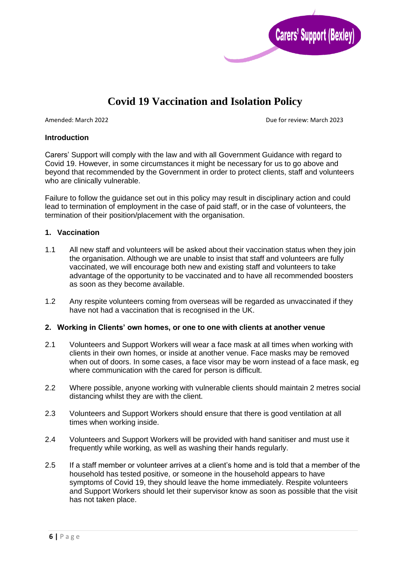

# **Covid 19 Vaccination and Isolation Policy**

Amended: March 2022 **Due for review: March 2023** 

#### **Introduction**

Carers' Support will comply with the law and with all Government Guidance with regard to Covid 19. However, in some circumstances it might be necessary for us to go above and beyond that recommended by the Government in order to protect clients, staff and volunteers who are clinically vulnerable.

Failure to follow the guidance set out in this policy may result in disciplinary action and could lead to termination of employment in the case of paid staff, or in the case of volunteers, the termination of their position/placement with the organisation.

#### **1. Vaccination**

- 1.1 All new staff and volunteers will be asked about their vaccination status when they join the organisation. Although we are unable to insist that staff and volunteers are fully vaccinated, we will encourage both new and existing staff and volunteers to take advantage of the opportunity to be vaccinated and to have all recommended boosters as soon as they become available.
- 1.2 Any respite volunteers coming from overseas will be regarded as unvaccinated if they have not had a vaccination that is recognised in the UK.

#### **2. Working in Clients' own homes, or one to one with clients at another venue**

- 2.1 Volunteers and Support Workers will wear a face mask at all times when working with clients in their own homes, or inside at another venue. Face masks may be removed when out of doors. In some cases, a face visor may be worn instead of a face mask, eg where communication with the cared for person is difficult.
- 2.2 Where possible, anyone working with vulnerable clients should maintain 2 metres social distancing whilst they are with the client.
- 2.3 Volunteers and Support Workers should ensure that there is good ventilation at all times when working inside.
- 2.4 Volunteers and Support Workers will be provided with hand sanitiser and must use it frequently while working, as well as washing their hands regularly.
- 2.5 If a staff member or volunteer arrives at a client's home and is told that a member of the household has tested positive, or someone in the household appears to have symptoms of Covid 19, they should leave the home immediately. Respite volunteers and Support Workers should let their supervisor know as soon as possible that the visit has not taken place.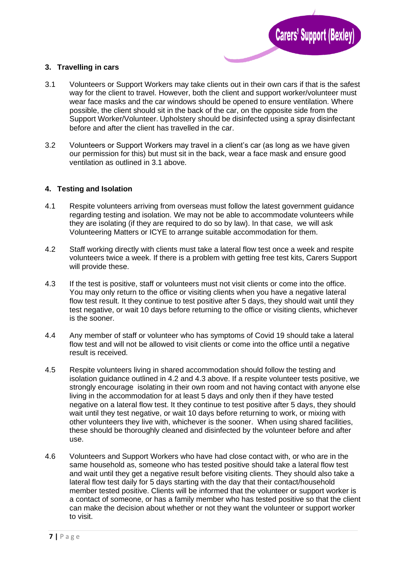

#### **3. Travelling in cars**

- 3.1 Volunteers or Support Workers may take clients out in their own cars if that is the safest way for the client to travel. However, both the client and support worker/volunteer must wear face masks and the car windows should be opened to ensure ventilation. Where possible, the client should sit in the back of the car, on the opposite side from the Support Worker/Volunteer. Upholstery should be disinfected using a spray disinfectant before and after the client has travelled in the car.
- 3.2 Volunteers or Support Workers may travel in a client's car (as long as we have given our permission for this) but must sit in the back, wear a face mask and ensure good ventilation as outlined in 3.1 above.

#### **4. Testing and Isolation**

- 4.1 Respite volunteers arriving from overseas must follow the latest government guidance regarding testing and isolation. We may not be able to accommodate volunteers while they are isolating (if they are required to do so by law). In that case, we will ask Volunteering Matters or ICYE to arrange suitable accommodation for them.
- 4.2 Staff working directly with clients must take a lateral flow test once a week and respite volunteers twice a week. If there is a problem with getting free test kits, Carers Support will provide these.
- 4.3 If the test is positive, staff or volunteers must not visit clients or come into the office. You may only return to the office or visiting clients when you have a negative lateral flow test result. It they continue to test positive after 5 days, they should wait until they test negative, or wait 10 days before returning to the office or visiting clients, whichever is the sooner.
- 4.4 Any member of staff or volunteer who has symptoms of Covid 19 should take a lateral flow test and will not be allowed to visit clients or come into the office until a negative result is received.
- 4.5 Respite volunteers living in shared accommodation should follow the testing and isolation guidance outlined in 4.2 and 4.3 above. If a respite volunteer tests positive, we strongly encourage isolating in their own room and not having contact with anyone else living in the accommodation for at least 5 days and only then if they have tested negative on a lateral flow test. It they continue to test positive after 5 days, they should wait until they test negative, or wait 10 days before returning to work, or mixing with other volunteers they live with, whichever is the sooner. When using shared facilities, these should be thoroughly cleaned and disinfected by the volunteer before and after use.
- 4.6 Volunteers and Support Workers who have had close contact with, or who are in the same household as, someone who has tested positive should take a lateral flow test and wait until they get a negative result before visiting clients. They should also take a lateral flow test daily for 5 days starting with the day that their contact/household member tested positive. Clients will be informed that the volunteer or support worker is a contact of someone, or has a family member who has tested positive so that the client can make the decision about whether or not they want the volunteer or support worker to visit.